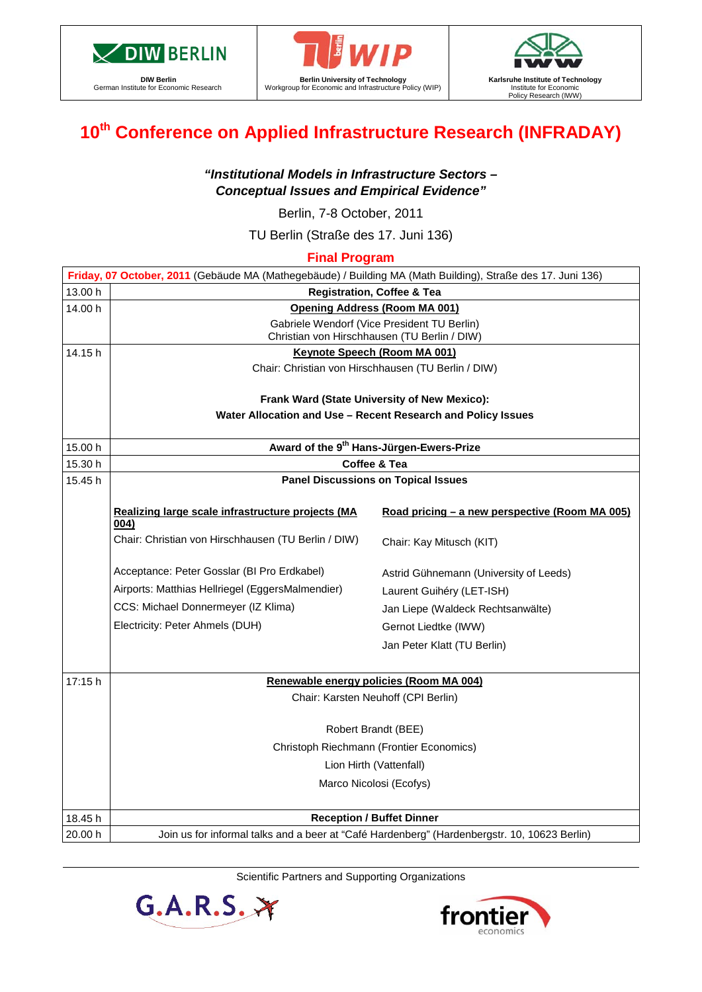

**DIW Berlin** German Institute for Economic Research





# **10th Conference on Applied Infrastructure Research (INFRADAY)**

## *"Institutional Models in Infrastructure Sectors – Conceptual Issues and Empirical Evidence"*

Berlin, 7-8 October, 2011

TU Berlin (Straße des 17. Juni 136)

**Final Program**

| Friday, 07 October, 2011 (Gebäude MA (Mathegebäude) / Building MA (Math Building), Straße des 17. Juni 136) |                                                                                              |                                                |  |  |  |  |  |  |
|-------------------------------------------------------------------------------------------------------------|----------------------------------------------------------------------------------------------|------------------------------------------------|--|--|--|--|--|--|
| 13.00 h                                                                                                     | <b>Registration, Coffee &amp; Tea</b>                                                        |                                                |  |  |  |  |  |  |
| 14.00 h                                                                                                     | Opening Address (Room MA 001)                                                                |                                                |  |  |  |  |  |  |
|                                                                                                             | Gabriele Wendorf (Vice President TU Berlin)                                                  |                                                |  |  |  |  |  |  |
| 14.15 h                                                                                                     | Christian von Hirschhausen (TU Berlin / DIW)                                                 |                                                |  |  |  |  |  |  |
|                                                                                                             | <b>Keynote Speech (Room MA 001)</b><br>Chair: Christian von Hirschhausen (TU Berlin / DIW)   |                                                |  |  |  |  |  |  |
|                                                                                                             |                                                                                              |                                                |  |  |  |  |  |  |
|                                                                                                             | Frank Ward (State University of New Mexico):                                                 |                                                |  |  |  |  |  |  |
|                                                                                                             | Water Allocation and Use - Recent Research and Policy Issues                                 |                                                |  |  |  |  |  |  |
|                                                                                                             |                                                                                              |                                                |  |  |  |  |  |  |
| 15.00 h                                                                                                     | Award of the 9 <sup>th</sup> Hans-Jürgen-Ewers-Prize                                         |                                                |  |  |  |  |  |  |
| 15.30 h                                                                                                     | Coffee & Tea                                                                                 |                                                |  |  |  |  |  |  |
| 15.45 h                                                                                                     | <b>Panel Discussions on Topical Issues</b>                                                   |                                                |  |  |  |  |  |  |
|                                                                                                             | Realizing large scale infrastructure projects (MA                                            | Road pricing - a new perspective (Room MA 005) |  |  |  |  |  |  |
|                                                                                                             | 004)                                                                                         |                                                |  |  |  |  |  |  |
|                                                                                                             | Chair: Christian von Hirschhausen (TU Berlin / DIW)                                          | Chair: Kay Mitusch (KIT)                       |  |  |  |  |  |  |
|                                                                                                             |                                                                                              |                                                |  |  |  |  |  |  |
|                                                                                                             | Acceptance: Peter Gosslar (BI Pro Erdkabel)                                                  | Astrid Gühnemann (University of Leeds)         |  |  |  |  |  |  |
|                                                                                                             | Airports: Matthias Hellriegel (EggersMalmendier)                                             | Laurent Guihéry (LET-ISH)                      |  |  |  |  |  |  |
|                                                                                                             | CCS: Michael Donnermeyer (IZ Klima)                                                          | Jan Liepe (Waldeck Rechtsanwälte)              |  |  |  |  |  |  |
|                                                                                                             | Electricity: Peter Ahmels (DUH)                                                              | Gernot Liedtke (IWW)                           |  |  |  |  |  |  |
|                                                                                                             |                                                                                              | Jan Peter Klatt (TU Berlin)                    |  |  |  |  |  |  |
|                                                                                                             |                                                                                              |                                                |  |  |  |  |  |  |
| 17:15 h                                                                                                     |                                                                                              | Renewable energy policies (Room MA 004)        |  |  |  |  |  |  |
|                                                                                                             | Chair: Karsten Neuhoff (CPI Berlin)                                                          |                                                |  |  |  |  |  |  |
|                                                                                                             |                                                                                              |                                                |  |  |  |  |  |  |
|                                                                                                             | Robert Brandt (BEE)<br>Christoph Riechmann (Frontier Economics)<br>Lion Hirth (Vattenfall)   |                                                |  |  |  |  |  |  |
|                                                                                                             |                                                                                              |                                                |  |  |  |  |  |  |
|                                                                                                             |                                                                                              |                                                |  |  |  |  |  |  |
|                                                                                                             | Marco Nicolosi (Ecofys)                                                                      |                                                |  |  |  |  |  |  |
|                                                                                                             |                                                                                              |                                                |  |  |  |  |  |  |
| 18.45 h                                                                                                     | <b>Reception / Buffet Dinner</b>                                                             |                                                |  |  |  |  |  |  |
| 20.00 h                                                                                                     | Join us for informal talks and a beer at "Café Hardenberg" (Hardenbergstr. 10, 10623 Berlin) |                                                |  |  |  |  |  |  |

Scientific Partners and Supporting Organizations



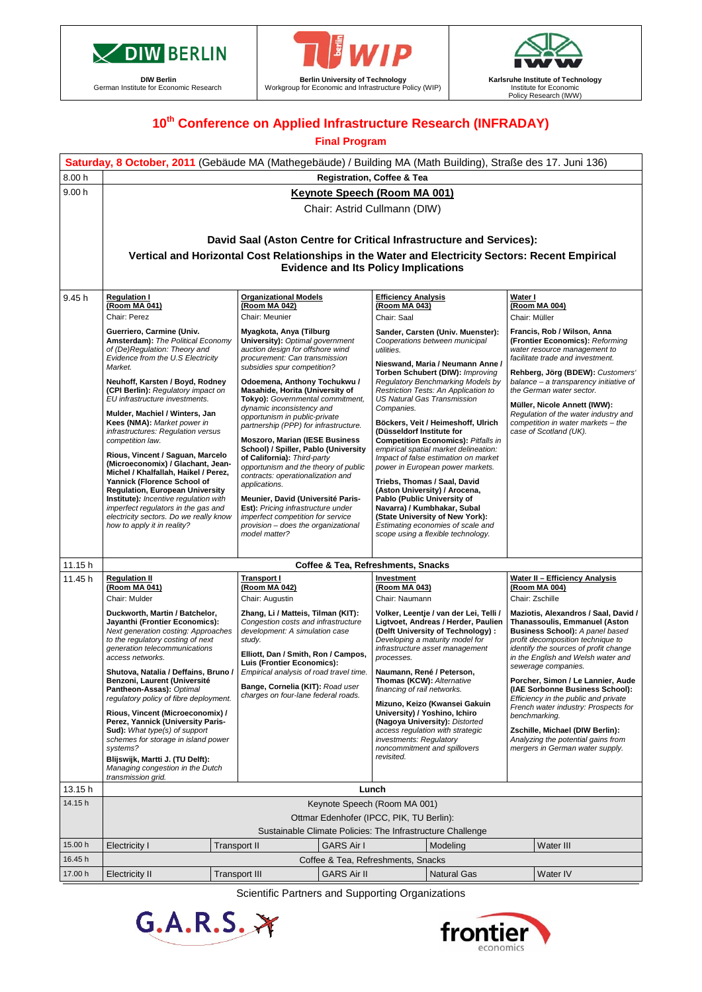

**DIW Berlin** German Institute for Economic Research



**Berlin University of Technology** Workgroup for Economic and Infrastructure Policy (WIP)



## **10th Conference on Applied Infrastructure Research (INFRADAY)**

#### **Final Program**

|         | Saturday, 8 October, 2011 (Gebäude MA (Mathegebäude) / Building MA (Math Building), Straße des 17. Juni 136)                                                                                                                                                                                                                                                                                                                                                                                                                                                                                                                                                                                                                                             |                                                                                                                                                                                                                                                                                                                                                                                                                                                                                                                                                                                                                                                                                                                                                                                       |                                                                                                                                                                                                                                                                                                                                                                                                                                                                                                                                                                                                                                                                                                                                                                                              |                                                                                                                                                                                                                                                                                                                                                                                                                                                                                                                                                                                                                |  |  |  |  |  |  |  |
|---------|----------------------------------------------------------------------------------------------------------------------------------------------------------------------------------------------------------------------------------------------------------------------------------------------------------------------------------------------------------------------------------------------------------------------------------------------------------------------------------------------------------------------------------------------------------------------------------------------------------------------------------------------------------------------------------------------------------------------------------------------------------|---------------------------------------------------------------------------------------------------------------------------------------------------------------------------------------------------------------------------------------------------------------------------------------------------------------------------------------------------------------------------------------------------------------------------------------------------------------------------------------------------------------------------------------------------------------------------------------------------------------------------------------------------------------------------------------------------------------------------------------------------------------------------------------|----------------------------------------------------------------------------------------------------------------------------------------------------------------------------------------------------------------------------------------------------------------------------------------------------------------------------------------------------------------------------------------------------------------------------------------------------------------------------------------------------------------------------------------------------------------------------------------------------------------------------------------------------------------------------------------------------------------------------------------------------------------------------------------------|----------------------------------------------------------------------------------------------------------------------------------------------------------------------------------------------------------------------------------------------------------------------------------------------------------------------------------------------------------------------------------------------------------------------------------------------------------------------------------------------------------------------------------------------------------------------------------------------------------------|--|--|--|--|--|--|--|
| 8.00 h  |                                                                                                                                                                                                                                                                                                                                                                                                                                                                                                                                                                                                                                                                                                                                                          |                                                                                                                                                                                                                                                                                                                                                                                                                                                                                                                                                                                                                                                                                                                                                                                       | <b>Registration, Coffee &amp; Tea</b>                                                                                                                                                                                                                                                                                                                                                                                                                                                                                                                                                                                                                                                                                                                                                        |                                                                                                                                                                                                                                                                                                                                                                                                                                                                                                                                                                                                                |  |  |  |  |  |  |  |
| 9.00h   | <b>Keynote Speech (Room MA 001)</b><br>Chair: Astrid Cullmann (DIW)                                                                                                                                                                                                                                                                                                                                                                                                                                                                                                                                                                                                                                                                                      |                                                                                                                                                                                                                                                                                                                                                                                                                                                                                                                                                                                                                                                                                                                                                                                       |                                                                                                                                                                                                                                                                                                                                                                                                                                                                                                                                                                                                                                                                                                                                                                                              |                                                                                                                                                                                                                                                                                                                                                                                                                                                                                                                                                                                                                |  |  |  |  |  |  |  |
|         | David Saal (Aston Centre for Critical Infrastructure and Services):                                                                                                                                                                                                                                                                                                                                                                                                                                                                                                                                                                                                                                                                                      |                                                                                                                                                                                                                                                                                                                                                                                                                                                                                                                                                                                                                                                                                                                                                                                       |                                                                                                                                                                                                                                                                                                                                                                                                                                                                                                                                                                                                                                                                                                                                                                                              |                                                                                                                                                                                                                                                                                                                                                                                                                                                                                                                                                                                                                |  |  |  |  |  |  |  |
|         | Vertical and Horizontal Cost Relationships in the Water and Electricity Sectors: Recent Empirical<br><b>Evidence and Its Policy Implications</b>                                                                                                                                                                                                                                                                                                                                                                                                                                                                                                                                                                                                         |                                                                                                                                                                                                                                                                                                                                                                                                                                                                                                                                                                                                                                                                                                                                                                                       |                                                                                                                                                                                                                                                                                                                                                                                                                                                                                                                                                                                                                                                                                                                                                                                              |                                                                                                                                                                                                                                                                                                                                                                                                                                                                                                                                                                                                                |  |  |  |  |  |  |  |
| 9.45 h  | <b>Regulation I</b><br>(Room MA 041)                                                                                                                                                                                                                                                                                                                                                                                                                                                                                                                                                                                                                                                                                                                     | <b>Organizational Models</b><br>(Room MA 042)                                                                                                                                                                                                                                                                                                                                                                                                                                                                                                                                                                                                                                                                                                                                         | <b>Efficiency Analysis</b><br>(Room MA 043)                                                                                                                                                                                                                                                                                                                                                                                                                                                                                                                                                                                                                                                                                                                                                  | Water I<br>(Room MA 004)                                                                                                                                                                                                                                                                                                                                                                                                                                                                                                                                                                                       |  |  |  |  |  |  |  |
|         | Chair: Perez<br>Guerriero, Carmine (Univ.<br>Amsterdam): The Political Economy<br>of (De)Regulation: Theory and<br>Evidence from the U.S Electricity<br>Market.<br>Neuhoff, Karsten / Boyd, Rodney<br>(CPI Berlin): Regulatory impact on<br>EU infrastructure investments.<br>Mulder, Machiel / Winters, Jan<br>Kees (NMA): Market power in<br>infrastructures: Regulation versus<br>competition law.<br>Rious, Vincent / Saguan, Marcelo<br>(Microeconomix) / Glachant, Jean-<br>Michel / Khalfallah, Haikel / Perez,<br>Yannick (Florence School of<br><b>Regulation, European University</b><br>Institute): Incentive regulation with<br>imperfect regulators in the gas and<br>electricity sectors. Do we really know<br>how to apply it in reality? | Chair: Meunier<br>Myagkota, Anya (Tilburg<br>University): Optimal government<br>auction design for offshore wind<br>procurement: Can transmission<br>subsidies spur competition?<br>Odoemena, Anthony Tochukwu /<br>Masahide, Horita (University of<br>Tokyo): Governmental commitment,<br>dynamic inconsistency and<br>opportunism in public-private<br>partnership (PPP) for infrastructure.<br><b>Moszoro, Marian (IESE Business)</b><br>School) / Spiller, Pablo (University<br>of California): Third-party<br>opportunism and the theory of public<br>contracts: operationalization and<br>applications.<br>Meunier, David (Université Paris-<br>Est): Pricing infrastructure under<br>imperfect competition for service<br>provision - does the organizational<br>model matter? | Chair: Saal<br>Sander, Carsten (Univ. Muenster):<br>Cooperations between municipal<br>utilities.<br>Nieswand, Maria / Neumann Anne /<br>Torben Schubert (DIW): Improving<br>Regulatory Benchmarking Models by<br>Restriction Tests: An Application to<br><b>US Natural Gas Transmission</b><br>Companies.<br>Böckers, Veit / Heimeshoff, Ulrich<br>(Düsseldorf Institute for<br><b>Competition Economics): Pitfalls in</b><br>empirical spatial market delineation:<br>Impact of false estimation on market<br>power in European power markets.<br>Triebs, Thomas / Saal, David<br>(Aston University) / Arocena,<br>Pablo (Public University of<br>Navarra) / Kumbhakar, Subal<br>(State University of New York):<br>Estimating economies of scale and<br>scope using a flexible technology. | Chair: Müller<br>Francis, Rob / Wilson, Anna<br>(Frontier Economics): Reforming<br>water resource management to<br>facilitate trade and investment.<br>Rehberg, Jörg (BDEW): Customers'<br>balance - a transparency initiative of<br>the German water sector.<br>Müller, Nicole Annett (IWW):<br>Regulation of the water industry and<br>competition in water markets - the<br>case of Scotland (UK).                                                                                                                                                                                                          |  |  |  |  |  |  |  |
|         |                                                                                                                                                                                                                                                                                                                                                                                                                                                                                                                                                                                                                                                                                                                                                          |                                                                                                                                                                                                                                                                                                                                                                                                                                                                                                                                                                                                                                                                                                                                                                                       |                                                                                                                                                                                                                                                                                                                                                                                                                                                                                                                                                                                                                                                                                                                                                                                              |                                                                                                                                                                                                                                                                                                                                                                                                                                                                                                                                                                                                                |  |  |  |  |  |  |  |
| 11.15 h |                                                                                                                                                                                                                                                                                                                                                                                                                                                                                                                                                                                                                                                                                                                                                          |                                                                                                                                                                                                                                                                                                                                                                                                                                                                                                                                                                                                                                                                                                                                                                                       | Coffee & Tea, Refreshments, Snacks                                                                                                                                                                                                                                                                                                                                                                                                                                                                                                                                                                                                                                                                                                                                                           |                                                                                                                                                                                                                                                                                                                                                                                                                                                                                                                                                                                                                |  |  |  |  |  |  |  |
| 11.45 h | <b>Regulation II</b><br>(Room MA 041)<br>Chair: Mulder                                                                                                                                                                                                                                                                                                                                                                                                                                                                                                                                                                                                                                                                                                   | <b>Transport I</b><br>(Room MA 042)<br>Chair: Augustin                                                                                                                                                                                                                                                                                                                                                                                                                                                                                                                                                                                                                                                                                                                                | Investment<br>(Room MA 043)<br>Chair: Naumann                                                                                                                                                                                                                                                                                                                                                                                                                                                                                                                                                                                                                                                                                                                                                | Water II - Efficiency Analysis<br>(Room MA 004)<br>Chair: Zschille<br>Maziotis, Alexandros / Saal, David /<br>Thanassoulis, Emmanuel (Aston<br>Business School): A panel based<br>profit decomposition technique to<br>identify the sources of profit change<br>in the English and Welsh water and<br>sewerage companies.<br>Porcher, Simon / Le Lannier, Aude<br>(IAE Sorbonne Business School):<br>Efficiency in the public and private<br>French water industry: Prospects for<br>benchmarking.<br>Zschille, Michael (DIW Berlin):<br>Analyzing the potential gains from<br>mergers in German water supply. |  |  |  |  |  |  |  |
|         | Duckworth, Martin / Batchelor,<br>Jayanthi (Frontier Economics):<br>Next generation costing: Approaches<br>to the regulatory costing of next<br>generation telecommunications<br>access networks.<br>Shutova, Natalia / Deffains, Bruno /<br>Benzoni, Laurent (Université<br>Pantheon-Assas): Optimal<br>regulatory policy of fibre deployment.                                                                                                                                                                                                                                                                                                                                                                                                          | Zhang, Li / Matteis, Tilman (KIT):<br>Congestion costs and infrastructure<br>development: A simulation case<br>study.<br>Elliott, Dan / Smith, Ron / Campos,<br>Luis (Frontier Economics):<br>Empirical analysis of road travel time.<br>Bange, Cornelia (KIT): Road user<br>charges on four-lane federal roads.                                                                                                                                                                                                                                                                                                                                                                                                                                                                      | Volker, Leentje / van der Lei, Telli /<br>Ligtvoet, Andreas / Herder, Paulien<br>(Delft University of Technology):<br>Developing a maturity model for<br>infrastructure asset management<br>processes.<br>Naumann, René / Peterson,<br>Thomas (KCW): Alternative<br>financing of rail networks.<br>Mizuno, Keizo (Kwansei Gakuin                                                                                                                                                                                                                                                                                                                                                                                                                                                             |                                                                                                                                                                                                                                                                                                                                                                                                                                                                                                                                                                                                                |  |  |  |  |  |  |  |
|         | Rious, Vincent (Microeconomix) /<br>Perez, Yannick (University Paris-<br>Sud): What type(s) of support<br>schemes for storage in island power<br>systems?<br>Blijswijk, Martti J. (TU Delft):<br>Managing congestion in the Dutch<br>transmission grid.                                                                                                                                                                                                                                                                                                                                                                                                                                                                                                  |                                                                                                                                                                                                                                                                                                                                                                                                                                                                                                                                                                                                                                                                                                                                                                                       | University) / Yoshino, Ichiro<br>(Nagoya University): Distorted<br>access regulation with strategic<br>investments: Regulatory<br>noncommitment and spillovers<br>revisited.                                                                                                                                                                                                                                                                                                                                                                                                                                                                                                                                                                                                                 |                                                                                                                                                                                                                                                                                                                                                                                                                                                                                                                                                                                                                |  |  |  |  |  |  |  |
| 13.15h  |                                                                                                                                                                                                                                                                                                                                                                                                                                                                                                                                                                                                                                                                                                                                                          |                                                                                                                                                                                                                                                                                                                                                                                                                                                                                                                                                                                                                                                                                                                                                                                       | Lunch                                                                                                                                                                                                                                                                                                                                                                                                                                                                                                                                                                                                                                                                                                                                                                                        |                                                                                                                                                                                                                                                                                                                                                                                                                                                                                                                                                                                                                |  |  |  |  |  |  |  |
| 14.15 h | Keynote Speech (Room MA 001)<br>Ottmar Edenhofer (IPCC, PIK, TU Berlin):<br>Sustainable Climate Policies: The Infrastructure Challenge                                                                                                                                                                                                                                                                                                                                                                                                                                                                                                                                                                                                                   |                                                                                                                                                                                                                                                                                                                                                                                                                                                                                                                                                                                                                                                                                                                                                                                       |                                                                                                                                                                                                                                                                                                                                                                                                                                                                                                                                                                                                                                                                                                                                                                                              |                                                                                                                                                                                                                                                                                                                                                                                                                                                                                                                                                                                                                |  |  |  |  |  |  |  |
| 15.00 h | <b>Electricity I</b>                                                                                                                                                                                                                                                                                                                                                                                                                                                                                                                                                                                                                                                                                                                                     | <b>GARS Air I</b>                                                                                                                                                                                                                                                                                                                                                                                                                                                                                                                                                                                                                                                                                                                                                                     | Modeling                                                                                                                                                                                                                                                                                                                                                                                                                                                                                                                                                                                                                                                                                                                                                                                     | Water III                                                                                                                                                                                                                                                                                                                                                                                                                                                                                                                                                                                                      |  |  |  |  |  |  |  |
| 16.45 h |                                                                                                                                                                                                                                                                                                                                                                                                                                                                                                                                                                                                                                                                                                                                                          | Transport II<br>Coffee & Tea, Refreshments, Snacks                                                                                                                                                                                                                                                                                                                                                                                                                                                                                                                                                                                                                                                                                                                                    |                                                                                                                                                                                                                                                                                                                                                                                                                                                                                                                                                                                                                                                                                                                                                                                              |                                                                                                                                                                                                                                                                                                                                                                                                                                                                                                                                                                                                                |  |  |  |  |  |  |  |
|         |                                                                                                                                                                                                                                                                                                                                                                                                                                                                                                                                                                                                                                                                                                                                                          |                                                                                                                                                                                                                                                                                                                                                                                                                                                                                                                                                                                                                                                                                                                                                                                       |                                                                                                                                                                                                                                                                                                                                                                                                                                                                                                                                                                                                                                                                                                                                                                                              |                                                                                                                                                                                                                                                                                                                                                                                                                                                                                                                                                                                                                |  |  |  |  |  |  |  |
| 17.00 h | <b>GARS Air II</b><br>Water IV<br><b>Transport III</b><br><b>Natural Gas</b><br><b>Electricity II</b>                                                                                                                                                                                                                                                                                                                                                                                                                                                                                                                                                                                                                                                    |                                                                                                                                                                                                                                                                                                                                                                                                                                                                                                                                                                                                                                                                                                                                                                                       |                                                                                                                                                                                                                                                                                                                                                                                                                                                                                                                                                                                                                                                                                                                                                                                              |                                                                                                                                                                                                                                                                                                                                                                                                                                                                                                                                                                                                                |  |  |  |  |  |  |  |

Scientific Partners and Supporting Organizations